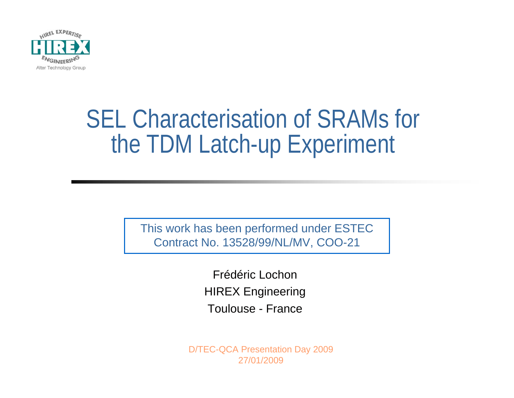

This work has been performed under ESTEC Contract No. 13528/99/NL/MV, COO-21

> Frédéric LochonHIREX Engineering Toulouse - France

D/TEC-QCA Presentation Day 2009 27/01/2009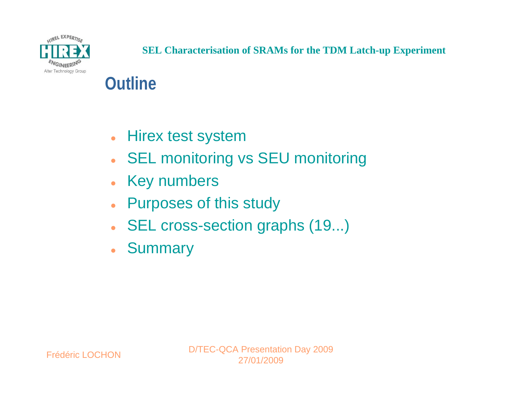

### **Outline**

- $\bullet$ Hirex test system
- $\bullet$ SEL monitoring vs SEU monitoring
- $\bullet$ Key numbers
- $\bullet$ Purposes of this study
- $\bullet$ SEL cross-section graphs (19...)
- Summary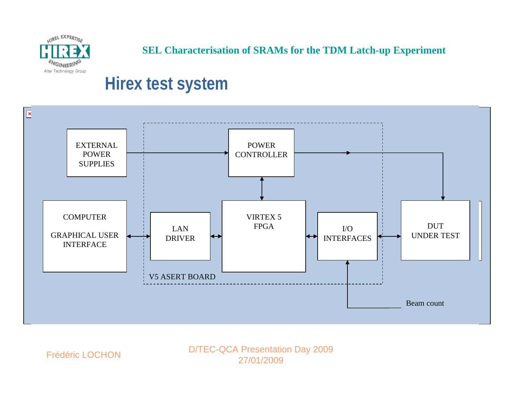

### **Hirex test system**



Frédéric LOCHON

D/TEC-QCA Presentation Day 2009 27/01/2009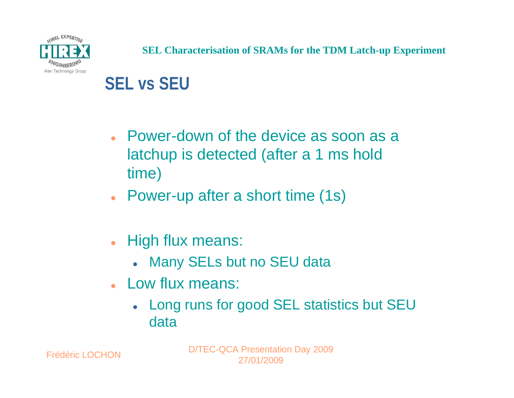

### **SEL vs SEU**

- Power-down of the device as soon as a latchup is detected (after a 1 ms hold time)
- Power-up after a short time (1s)
- $\bullet$  High flux means:
	- Many SELs but no SEU data
- Low flux means:
	- Long runs for good SEL statistics but SEU data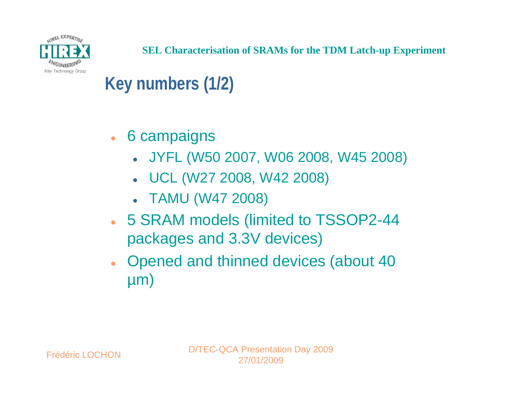

### **Key numbers (1/2)**

- 6 campaigns
	- z JYFL (W50 2007, W06 2008, W45 2008)
	- z UCL (W27 2008, W42 2008)
	- TAMU (W47 2008)
- 5 SRAM models (limited to TSSOP2-44 packages and 3.3V devices)
- Opened and thinned devices (about 40 µm)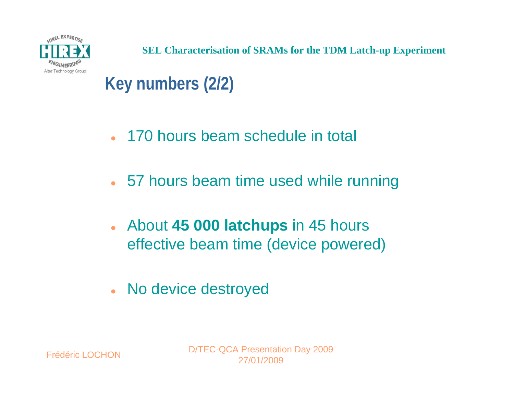

- 170 hours beam schedule in total
- 57 hours beam time used while running
- $\bullet$  About **45 000 latchups** in 45 hours effective beam time (device powered)
- No device destroyed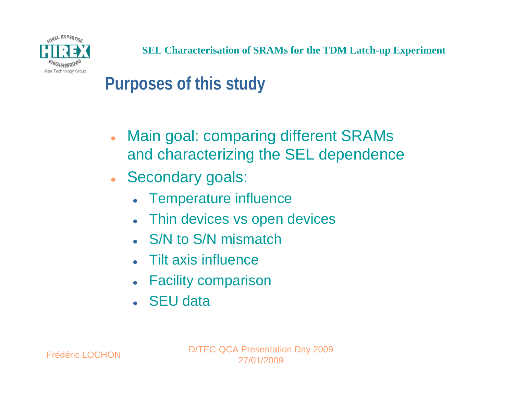

### **Purposes of this study**

- $\bullet$  Main goal: comparing different SRAMs and characterizing the SEL dependence
- Secondary goals:
	- Temperature influence
	- $\bullet$ Thin devices vs open devices
	- S/N to S/N mismatch
	- Tilt axis influence
	- Facility comparison
	- SEU data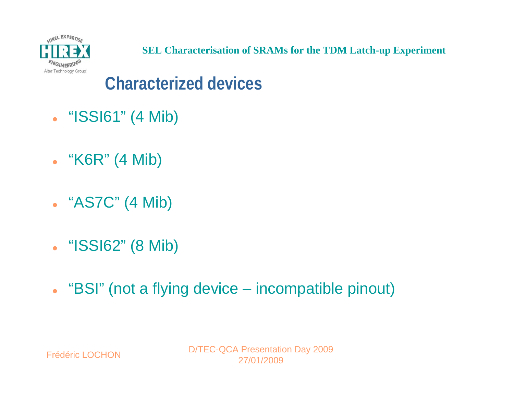Frédéric LOCHON

D/TEC-QCA Presentation Day 2009 27/01/2009

- $\bullet$ "BSI" (not a flying device – incompatible pinout)
- "ISSI62" (8 Mib)
- "AS7C" (4 Mib)
- "K6R" (4 Mib)
- "ISSI61" (4 Mib)

**Characterized devices**



**SEL Characterisation of SRAMs for the TDM Latch-up Experiment**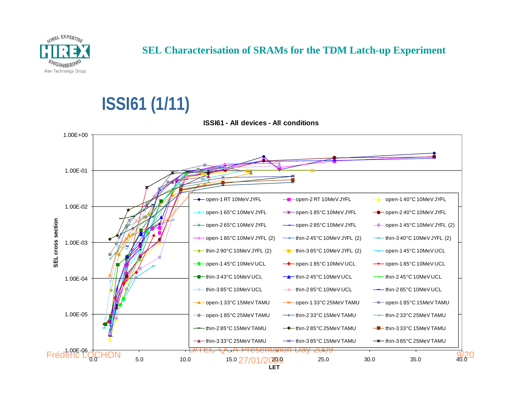

# **ISSI61 (1/11)**



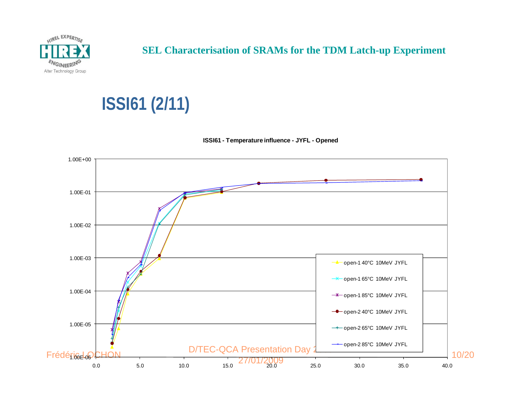

# **ISSI61 (2/11)**

**ISSI61 - Temperature influence - JYFL - Opened**

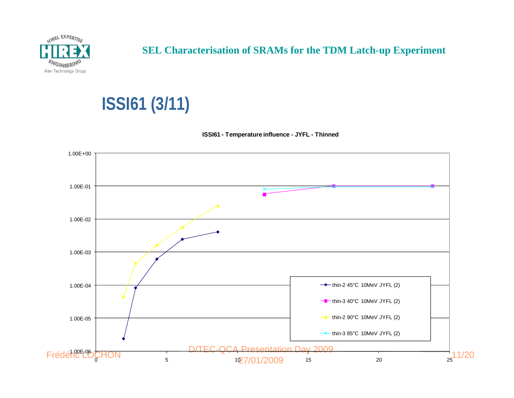

# **ISSI61 (3/11)**



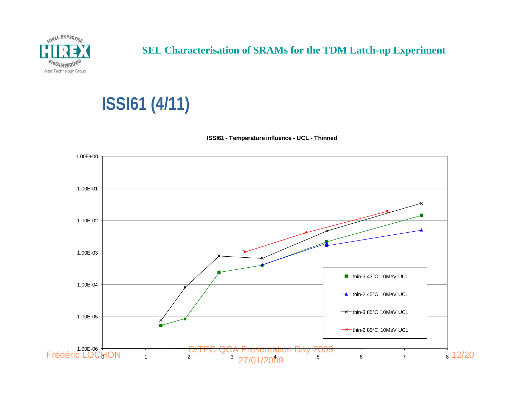

# **ISSI61 (4/11)**



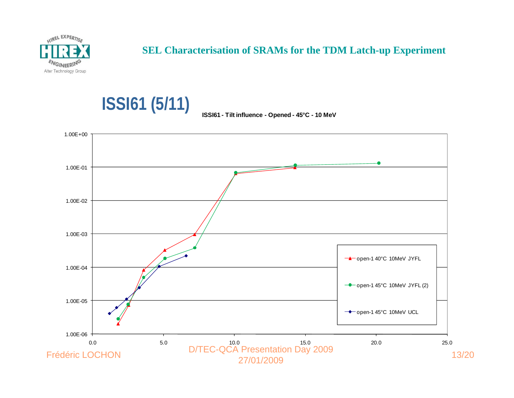

**ISSI61 (5/11)**

### **SEL Characterisation of SRAMs for the TDM Latch-up Experiment**

#### **ISSI61 - Tilt influence - Opened - 45°C - 10 MeV**

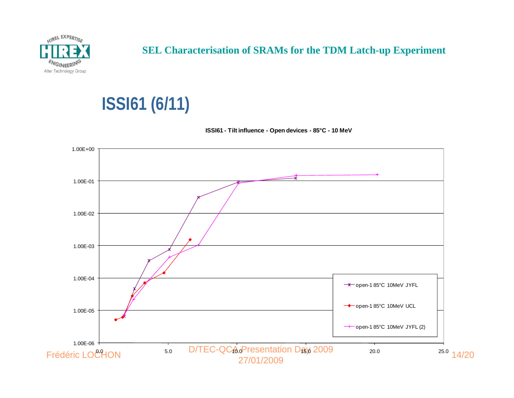

# **ISSI61 (6/11)**



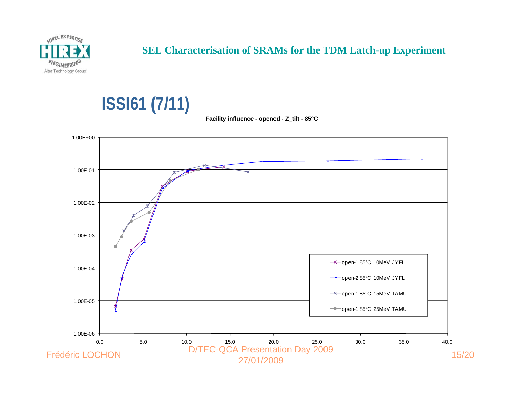

### **ISSI61 (7/11)**



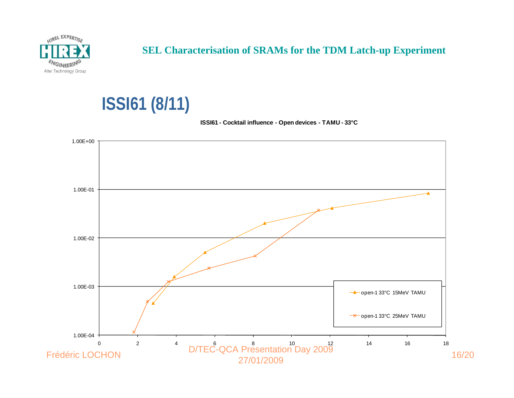

### **ISSI61 (8/11)**

#### **ISSI61 - Cocktail influence - Open devices - TAMU - 33°C**

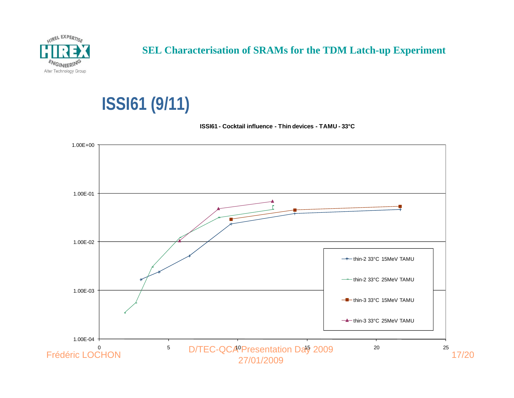

## **ISSI61 (9/11)**

#### **ISSI61 - Cocktail influence - Thin devices - TAMU - 33°C**

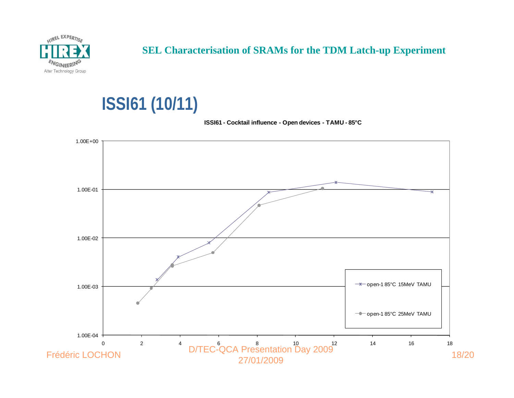

# **ISSI61 (10/11)**

#### **ISSI61 - Cocktail influence - Open devices - TAMU - 85°C**

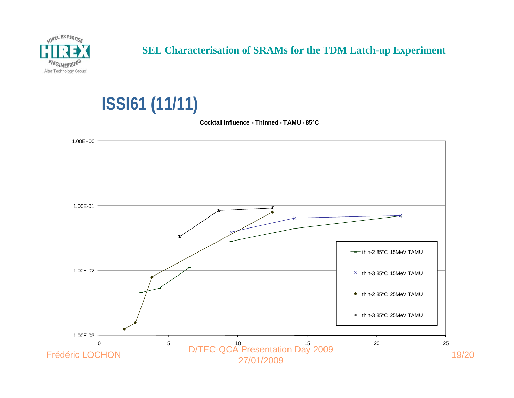

# **ISSI61 (11/11)**

**Cocktail influence - Thinned - TAMU - 85°C**

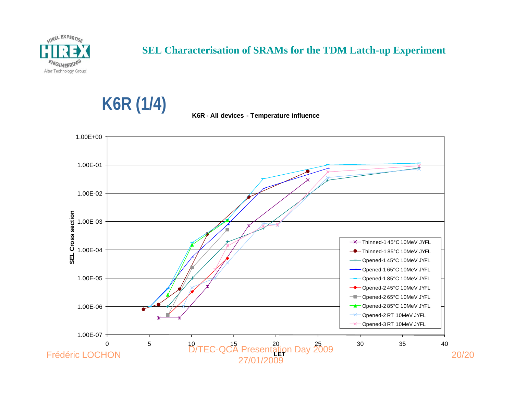

**K6R (1/4)**



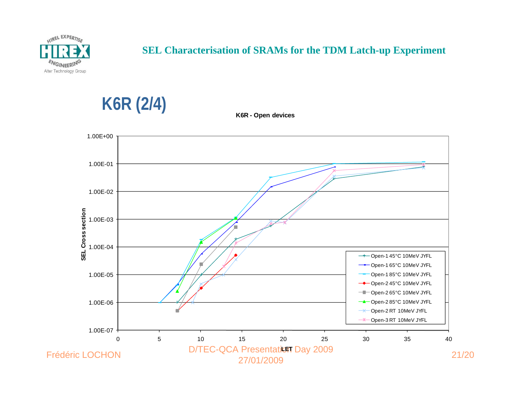

**K6R (2/4)**

### **SEL Characterisation of SRAMs for the TDM Latch-up Experiment**

**K6R - Open devices**

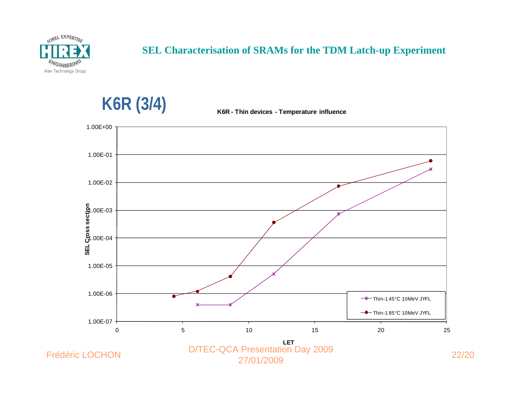

**K6R (3/4)**

#### **SEL Characterisation of SRAMs for the TDM Latch-up Experiment**



**K6R - Thin devices - Temperature influence**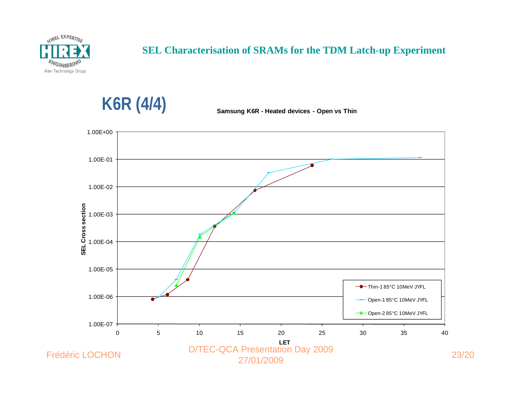

**K6R (4/4)**

**Samsung K6R - Heated devices - Open vs Thin**

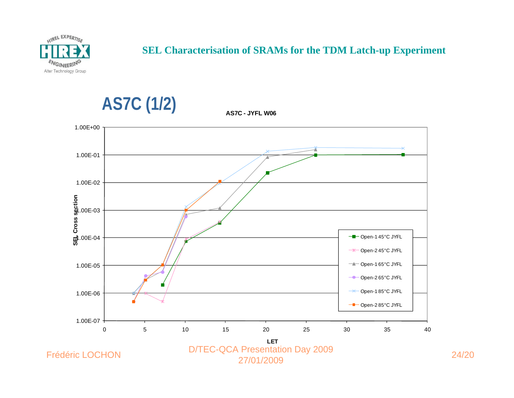

**AS7C (1/2)**

#### **SEL Characterisation of SRAMs for the TDM Latch-up Experiment**

**AS7C - JYFL W06**



Frédéric LOCHON

D/TEC-QCA Presentation Day 2009 27/01/200924/20<br>9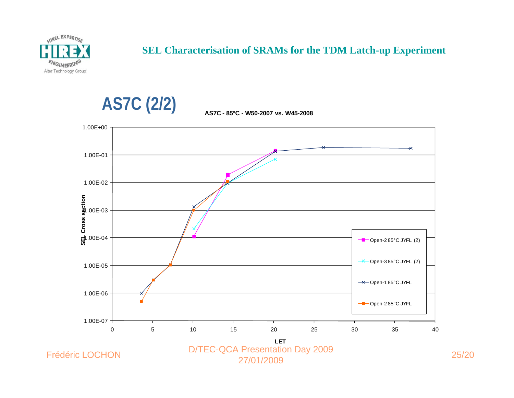





**AS7C - 85°C - W50-2007 vs. W45-2008** 

Frédéric LOCHON

D/TEC-QCA Presentation Day 2009 27/01/200925/20<br>9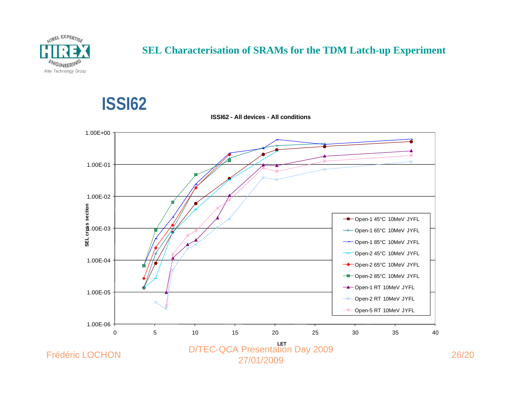

**ISSI62**





27/01/2009

Frédéric LOCHON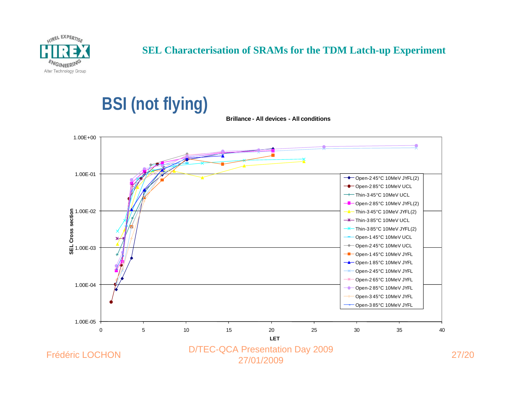

## **BSI (not flying)**

**Brillance - All devices - All conditions**

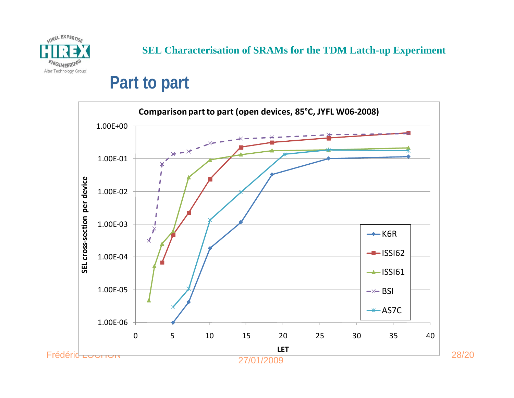

### **Part to part**